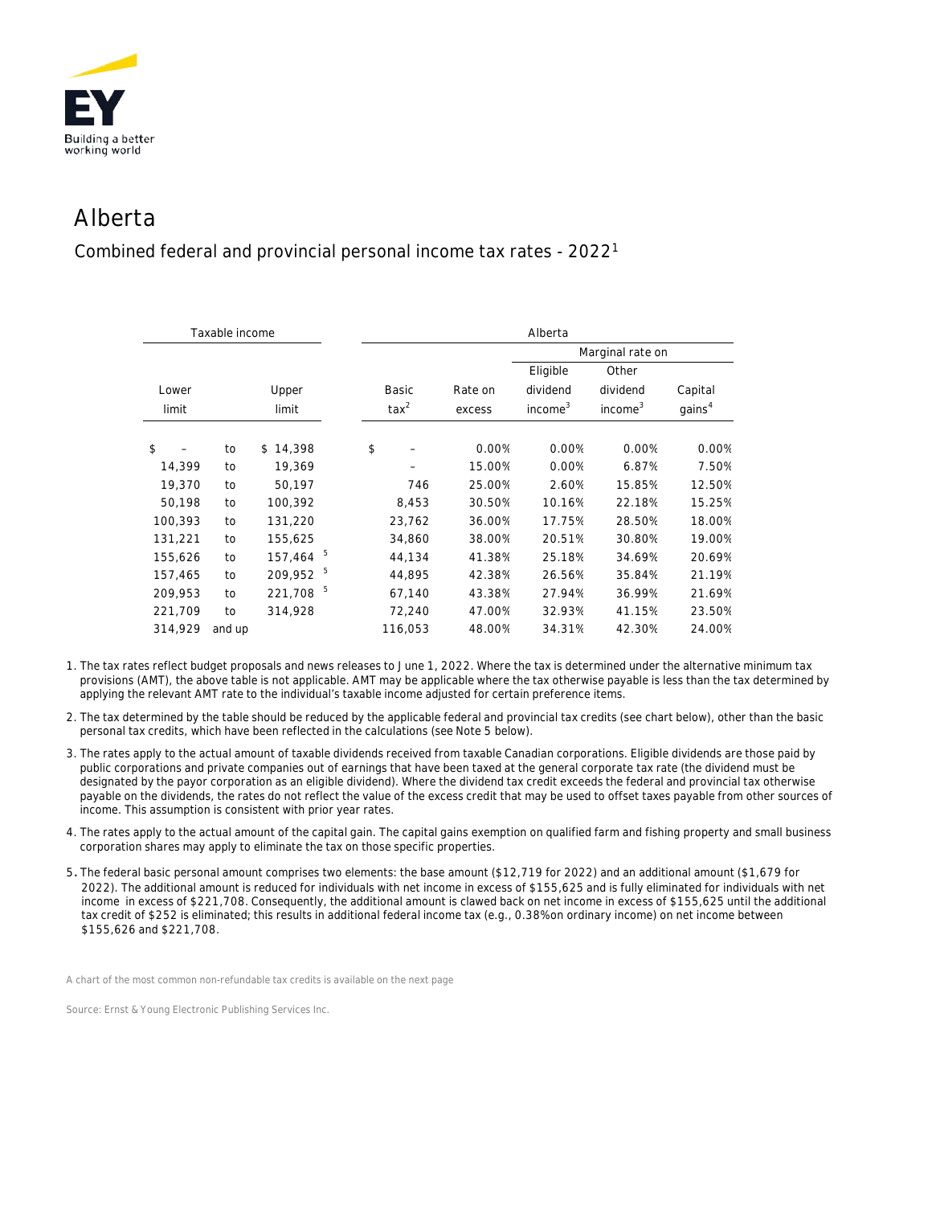

## Alberta

Combined federal and provincial personal income tax rates - 20221

| Taxable income |              |          | Alberta        |         |                     |                     |                    |  |
|----------------|--------------|----------|----------------|---------|---------------------|---------------------|--------------------|--|
|                |              |          |                |         | Marginal rate on    |                     |                    |  |
|                |              |          |                |         | Eligible            | Other               |                    |  |
|                | Upper        |          | <b>Basic</b>   | Rate on | dividend            | dividend            | Capital            |  |
|                | limit        |          | $\text{tax}^2$ | excess  | income <sup>3</sup> | income <sup>3</sup> | gains <sup>4</sup> |  |
|                |              |          |                |         |                     |                     |                    |  |
|                |              |          |                |         |                     |                     | 0.00%              |  |
| to             | 19,369       |          |                | 15.00%  | 0.00%               | 6.87%               | 7.50%              |  |
| to             | 50,197       |          | 746            | 25.00%  | 2.60%               | 15.85%              | 12.50%             |  |
| to             | 100,392      |          | 8,453          | 30.50%  | 10.16%              | 22.18%              | 15.25%             |  |
| to             | 131,220      |          | 23,762         | 36.00%  | 17.75%              | 28.50%              | 18.00%             |  |
| to             | 155,625      |          | 34,860         | 38.00%  | 20.51%              | 30.80%              | 19.00%             |  |
| to             | 5<br>157,464 |          | 44,134         | 41.38%  | 25.18%              | 34.69%              | 20.69%             |  |
| to             | 5<br>209,952 |          | 44.895         | 42.38%  | 26.56%              | 35.84%              | 21.19%             |  |
| to             | 5<br>221,708 |          | 67,140         | 43.38%  | 27.94%              | 36.99%              | 21.69%             |  |
| to             | 314,928      |          | 72,240         | 47.00%  | 32.93%              | 41.15%              | 23.50%             |  |
| and up         |              |          | 116,053        | 48.00%  | 34.31%              | 42.30%              | 24.00%             |  |
|                | to           | \$14,398 | \$             |         | 0.00%               | 0.00%               | 0.00%              |  |

1. The tax rates reflect budget proposals and news releases to June 1, 2022. Where the tax is determined under the alternative minimum tax provisions (AMT), the above table is not applicable. AMT may be applicable where the tax otherwise payable is less than the tax determined by applying the relevant AMT rate to the individual's taxable income adjusted for certain preference items.

- 2. The tax determined by the table should be reduced by the applicable federal and provincial tax credits (see chart below), other than the basic personal tax credits, which have been reflected in the calculations (see Note 5 below).
- 3. The rates apply to the actual amount of taxable dividends received from taxable Canadian corporations. Eligible dividends are those paid by public corporations and private companies out of earnings that have been taxed at the general corporate tax rate (the dividend must be designated by the payor corporation as an eligible dividend). Where the dividend tax credit exceeds the federal and provincial tax otherwise payable on the dividends, the rates do not reflect the value of the excess credit that may be used to offset taxes payable from other sources of income. This assumption is consistent with prior year rates.
- 4. The rates apply to the actual amount of the capital gain. The capital gains exemption on qualified farm and fishing property and small business corporation shares may apply to eliminate the tax on those specific properties.
- 5. The federal basic personal amount comprises two elements: the base amount (\$12,719 for 2022) and an additional amount (\$1,679 for 2022). The additional amount is reduced for individuals with net income in excess of \$155,625 and is fully eliminated for individuals with net income in excess of \$221,708. Consequently, the additional amount is clawed back on net income in excess of \$155,625 until the additional tax credit of \$252 is eliminated; this results in additional federal income tax (e.g., 0.38% on ordinary income) on net income between \$155,626 and \$221,708.

*A chart of the most common non-refundable tax credits is available on the next page*

*Source: Ernst & Young Electronic Publishing Services Inc.*